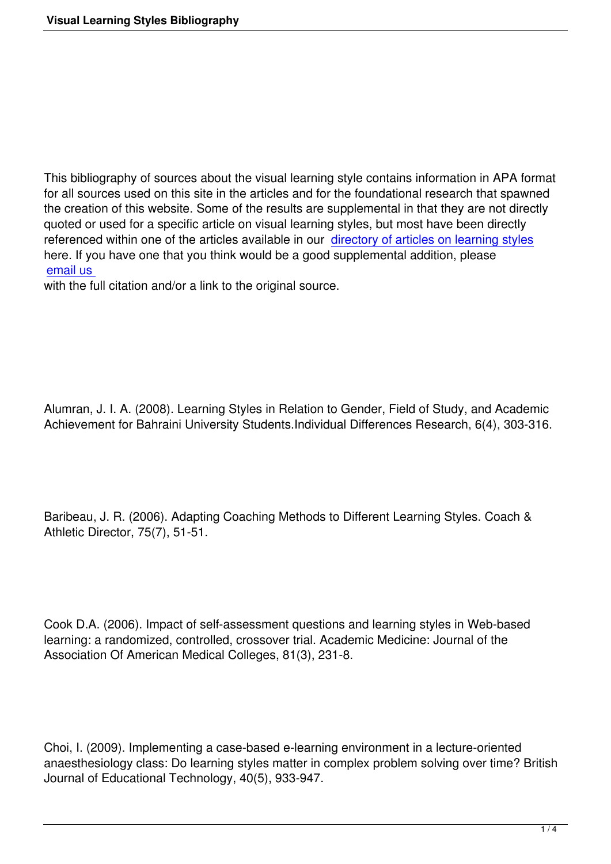This bibliography of sources about the visual learning style contains information in APA format for all sources used on this site in the articles and for the foundational research that spawned the creation of this website. Some of the results are supplemental in that they are not directly quoted or used for a specific article on visual learning styles, but most have been directly referenced within one of the articles available in our directory of articles on learning styles here. If you have one that you think would be a good supplemental addition, please email us

with the full citation and/or a link to the original sourc[e.](index.php?option=com_content&view=article&id=10&Itemid=7)

Alumran, J. I. A. (2008). Learning Styles in Relation to Gender, Field of Study, and Academic Achievement for Bahraini University Students.Individual Differences Research, 6(4), 303-316.

Baribeau, J. R. (2006). Adapting Coaching Methods to Different Learning Styles. Coach & Athletic Director, 75(7), 51-51.

Cook D.A. (2006). Impact of self-assessment questions and learning styles in Web-based learning: a randomized, controlled, crossover trial. Academic Medicine: Journal of the Association Of American Medical Colleges, 81(3), 231-8.

Choi, I. (2009). Implementing a case-based e-learning environment in a lecture-oriented anaesthesiology class: Do learning styles matter in complex problem solving over time? British Journal of Educational Technology, 40(5), 933-947.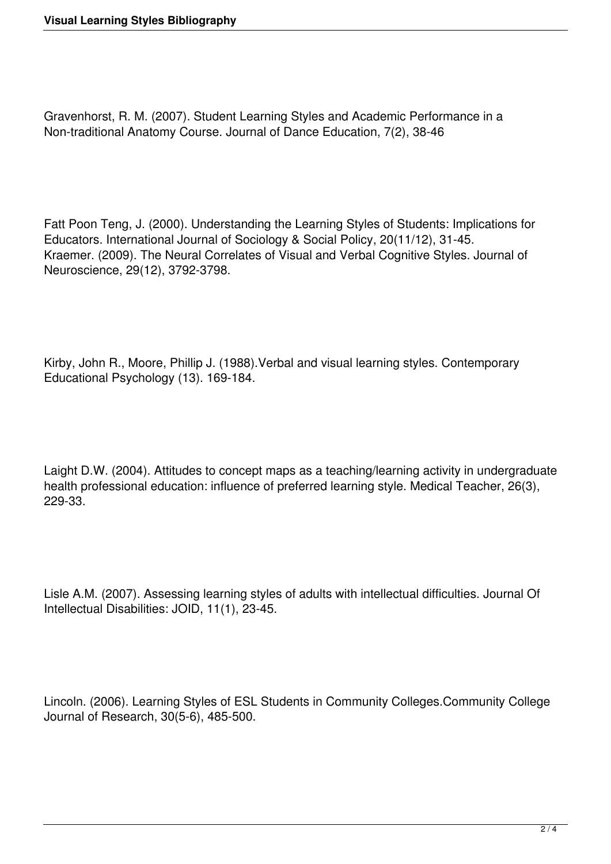Gravenhorst, R. M. (2007). Student Learning Styles and Academic Performance in a Non-traditional Anatomy Course. Journal of Dance Education, 7(2), 38-46

Fatt Poon Teng, J. (2000). Understanding the Learning Styles of Students: Implications for Educators. International Journal of Sociology & Social Policy, 20(11/12), 31-45. Kraemer. (2009). The Neural Correlates of Visual and Verbal Cognitive Styles. Journal of Neuroscience, 29(12), 3792-3798.

Kirby, John R., Moore, Phillip J. (1988).Verbal and visual learning styles. Contemporary Educational Psychology (13). 169-184.

Laight D.W. (2004). Attitudes to concept maps as a teaching/learning activity in undergraduate health professional education: influence of preferred learning style. Medical Teacher, 26(3), 229-33.

Lisle A.M. (2007). Assessing learning styles of adults with intellectual difficulties. Journal Of Intellectual Disabilities: JOID, 11(1), 23-45.

Lincoln. (2006). Learning Styles of ESL Students in Community Colleges.Community College Journal of Research, 30(5-6), 485-500.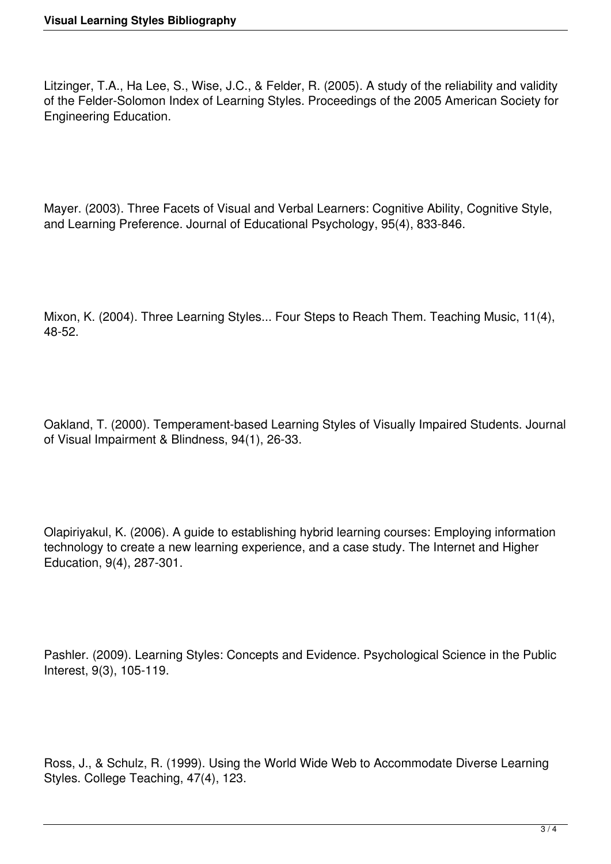Litzinger, T.A., Ha Lee, S., Wise, J.C., & Felder, R. (2005). A study of the reliability and validity of the Felder-Solomon Index of Learning Styles. Proceedings of the 2005 American Society for Engineering Education.

Mayer. (2003). Three Facets of Visual and Verbal Learners: Cognitive Ability, Cognitive Style, and Learning Preference. Journal of Educational Psychology, 95(4), 833-846.

Mixon, K. (2004). Three Learning Styles... Four Steps to Reach Them. Teaching Music, 11(4), 48-52.

Oakland, T. (2000). Temperament-based Learning Styles of Visually Impaired Students. Journal of Visual Impairment & Blindness, 94(1), 26-33.

Olapiriyakul, K. (2006). A guide to establishing hybrid learning courses: Employing information technology to create a new learning experience, and a case study. The Internet and Higher Education, 9(4), 287-301.

Pashler. (2009). Learning Styles: Concepts and Evidence. Psychological Science in the Public Interest, 9(3), 105-119.

Ross, J., & Schulz, R. (1999). Using the World Wide Web to Accommodate Diverse Learning Styles. College Teaching, 47(4), 123.